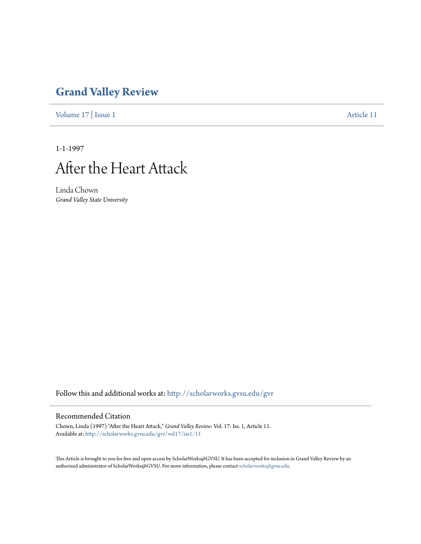# **[Grand Valley Review](http://scholarworks.gvsu.edu/gvr?utm_source=scholarworks.gvsu.edu%2Fgvr%2Fvol17%2Fiss1%2F11&utm_medium=PDF&utm_campaign=PDFCoverPages)**

[Volume 17](http://scholarworks.gvsu.edu/gvr/vol17?utm_source=scholarworks.gvsu.edu%2Fgvr%2Fvol17%2Fiss1%2F11&utm_medium=PDF&utm_campaign=PDFCoverPages) | [Issue 1](http://scholarworks.gvsu.edu/gvr/vol17/iss1?utm_source=scholarworks.gvsu.edu%2Fgvr%2Fvol17%2Fiss1%2F11&utm_medium=PDF&utm_campaign=PDFCoverPages) [Article 11](http://scholarworks.gvsu.edu/gvr/vol17/iss1/11?utm_source=scholarworks.gvsu.edu%2Fgvr%2Fvol17%2Fiss1%2F11&utm_medium=PDF&utm_campaign=PDFCoverPages)

1-1-1997



Linda Chown *Grand Valley State University*

Follow this and additional works at: [http://scholarworks.gvsu.edu/gvr](http://scholarworks.gvsu.edu/gvr?utm_source=scholarworks.gvsu.edu%2Fgvr%2Fvol17%2Fiss1%2F11&utm_medium=PDF&utm_campaign=PDFCoverPages)

### Recommended Citation

Chown, Linda (1997) "After the Heart Attack," *Grand Valley Review*: Vol. 17: Iss. 1, Article 11. Available at: [http://scholarworks.gvsu.edu/gvr/vol17/iss1/11](http://scholarworks.gvsu.edu/gvr/vol17/iss1/11?utm_source=scholarworks.gvsu.edu%2Fgvr%2Fvol17%2Fiss1%2F11&utm_medium=PDF&utm_campaign=PDFCoverPages)

This Article is brought to you for free and open access by ScholarWorks@GVSU. It has been accepted for inclusion in Grand Valley Review by an authorized administrator of ScholarWorks@GVSU. For more information, please contact [scholarworks@gvsu.edu.](mailto:scholarworks@gvsu.edu)